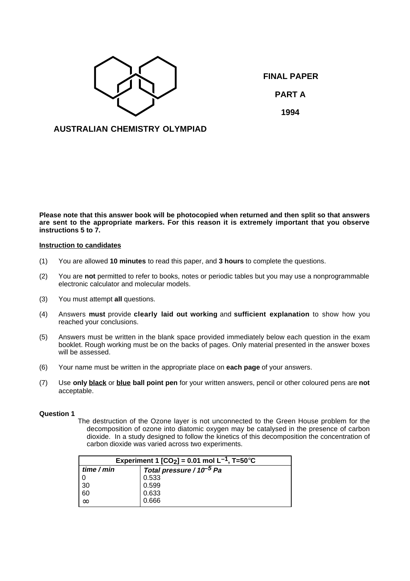

**FINAL PAPER PART A 1994**

# **AUSTRALIAN CHEMISTRY OLYMPIAD**

**Please note that this answer book will be photocopied when returned and then split so that answers are sent to the appropriate markers. For this reason it is extremely important that you observe instructions 5 to 7.**

### **Instruction to candidates**

- (1) You are allowed **10 minutes** to read this paper, and **3 hours** to complete the questions.
- (2) You are **not** permitted to refer to books, notes or periodic tables but you may use a nonprogrammable electronic calculator and molecular models.
- (3) You must attempt **all** questions.
- (4) Answers **must** provide **clearly laid out working** and **sufficient explanation** to show how you reached your conclusions.
- (5) Answers must be written in the blank space provided immediately below each question in the exam booklet. Rough working must be on the backs of pages. Only material presented in the answer boxes will be assessed.
- (6) Your name must be written in the appropriate place on **each page** of your answers.
- (7) Use **only black** or **blue ball point pen** for your written answers, pencil or other coloured pens are **not** acceptable.

# **Question 1**

The destruction of the Ozone layer is not unconnected to the Green House problem for the decomposition of ozone into diatomic oxygen may be catalysed in the presence of carbon dioxide. In a study designed to follow the kinetics of this decomposition the concentration of carbon dioxide was varied across two experiments.

| Experiment 1 $[CO_2] = 0.01$ mol L <sup>-1</sup> , T=50°C |                                      |  |  |
|-----------------------------------------------------------|--------------------------------------|--|--|
| time / min                                                | Total pressure / 10 <sup>-5</sup> Pa |  |  |
|                                                           | 0.533                                |  |  |
| 30                                                        | 0.599                                |  |  |
| 60                                                        | 0.633                                |  |  |
| $\infty$                                                  | 0.666                                |  |  |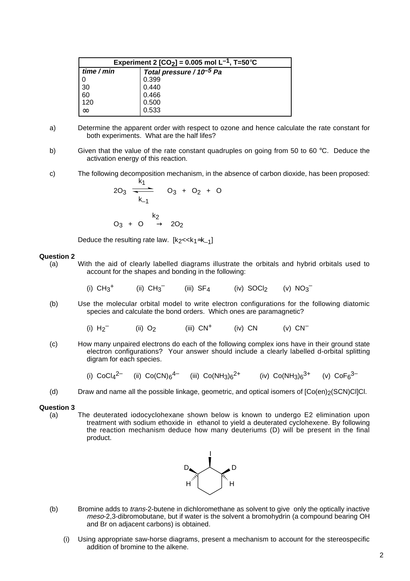| Experiment 2 [CO <sub>2</sub> ] = 0.005 mol L <sup>-1</sup> , T=50°C |                                      |  |  |
|----------------------------------------------------------------------|--------------------------------------|--|--|
| time / min                                                           | Total pressure / 10 <sup>-5</sup> Pa |  |  |
| 0                                                                    | 0.399                                |  |  |
| 30                                                                   | 0.440                                |  |  |
| 60                                                                   | 0.466                                |  |  |
| 120                                                                  | 0.500                                |  |  |
| $\infty$                                                             | 0.533                                |  |  |

- a) Determine the apparent order with respect to ozone and hence calculate the rate constant for both experiments. What are the half lifes?
- b) Given that the value of the rate constant quadruples on going from 50 to 60  $\degree$ C. Deduce the activation energy of this reaction.
- c) The following decomposition mechanism, in the absence of carbon dioxide, has been proposed:

$$
20_3 \frac{1}{k_{-1}} \quad 0_3 + 0_2 + 0
$$

$$
O_3~+~O~\stackrel{k_2}{\longrightarrow}~2O_2
$$

 $\mathbf{r}$ 

Deduce the resulting rate law.  $[k_2 < k_1 \approx k_1]$ 

### **Question 2**

(a) With the aid of clearly labelled diagrams illustrate the orbitals and hybrid orbitals used to account for the shapes and bonding in the following:

> (i)  $CH_3^+$  (ii)  $CH_3^-$ (iii)  $SF_4$  (iv)  $SOCl_2$ (v)  $NO_3^-$

- (b) Use the molecular orbital model to write electron configurations for the following diatomic species and calculate the bond orders. Which ones are paramagnetic?
	- (i)  $H_2^-$ (ii)  $O<sub>2</sub>$  (iii)  $CN<sup>+</sup>$  (iv) CN (v)  $CN<sup>-</sup>$
- (c) How many unpaired electrons do each of the following complex ions have in their ground state electron configurations? Your answer should include a clearly labelled d-orbital splitting digram for each species.

(i) 
$$
CoCl_4^{2-}
$$
 (ii)  $Co(CN)_6^{4-}$  (iii)  $Co(NH_3)_6^{2+}$  (iv)  $Co(NH_3)_6^{3+}$  (v)  $CoF_6^{3-}$ 

(d) Draw and name all the possible linkage, geometric, and optical isomers of  $[Co(en)]_2(SCN)ClCl$ .

#### **Question 3**

(a) The deuterated iodocyclohexane shown below is known to undergo E2 elimination upon treatment with sodium ethoxide in ethanol to yield a deuterated cyclohexene. By following the reaction mechanism deduce how many deuteriums (D) will be present in the final product.



- (b) Bromine adds to *trans*-2-butene in dichloromethane as solvent to give only the optically inactive meso-2,3-dibromobutane, but if water is the solvent a bromohydrin (a compound bearing OH and Br on adjacent carbons) is obtained.
	- (i) Using appropriate saw-horse diagrams, present a mechanism to account for the stereospecific addition of bromine to the alkene.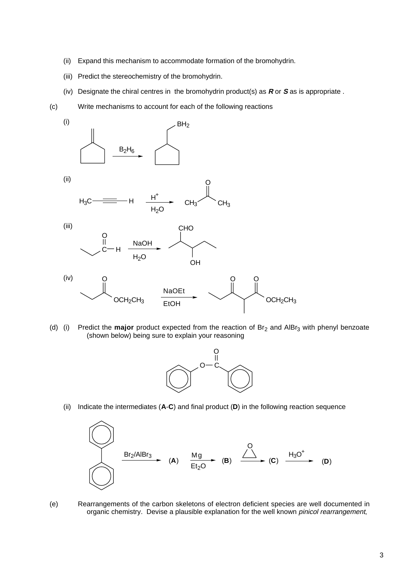- (ii) Expand this mechanism to accommodate formation of the bromohydrin.
- (iii) Predict the stereochemistry of the bromohydrin.
- (iv) Designate the chiral centres in the bromohydrin product(s) as **R** or **S** as is appropriate .
- (c) Write mechanisms to account for each of the following reactions



(d) (i) Predict the **major** product expected from the reaction of Br<sub>2</sub> and AlBr<sub>3</sub> with phenyl benzoate (shown below) being sure to explain your reasoning



(ii) Indicate the intermediates (**A**-**C**) and final product (**D**) in the following reaction sequence



(e) Rearrangements of the carbon skeletons of electron deficient species are well documented in organic chemistry. Devise a plausible explanation for the well known *pinicol rearrangement*,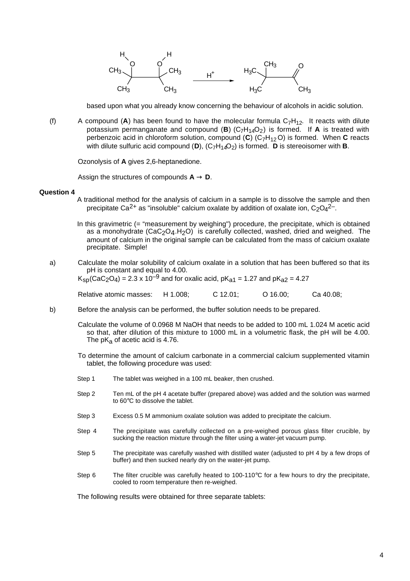

based upon what you already know concerning the behaviour of alcohols in acidic solution.

(f) A compound (A) has been found to have the molecular formula  $C_7H_{12}$ . It reacts with dilute potassium permanganate and compound  $(B)$   $(C_7H_{14}O_2)$  is formed. If **A** is treated with perbenzoic acid in chloroform solution, compound (**C**) (C7H12 O) is formed. When **C** reacts with dilute sulfuric acid compound (D),  $(C_7H_{14}O_2)$  is formed. **D** is stereoisomer with **B**.

Ozonolysis of **A** gives 2,6-heptanedione.

Assign the structures of compounds  $A \rightarrow D$ .

#### **Question 4**

- A traditional method for the analysis of calcium in a sample is to dissolve the sample and then precipitate Ca<sup>2+</sup> as "insoluble" calcium oxalate by addition of oxalate ion,  $C_2O_4^2$ -.
- In this gravimetric (= "measurement by weighing") procedure, the precipitate, which is obtained as a monohydrate  $(CaC_2O_4.H_2O)$  is carefully collected, washed, dried and weighed. The amount of calcium in the original sample can be calculated from the mass of calcium oxalate precipitate. Simple!

# a) Calculate the molar solubility of calcium oxalate in a solution that has been buffered so that its pH is constant and equal to 4.00.

 $K_{\text{sn}}(CaC_2O_4) = 2.3 \times 10^{-9}$  and for oxalic acid, p $K_{a1} = 1.27$  and p $K_{a2} = 4.27$ 

Relative atomic masses: H 1.008; C 12.01; O 16.00; Ca 40.08;

b) Before the analysis can be performed, the buffer solution needs to be prepared.

Calculate the volume of 0.0968 M NaOH that needs to be added to 100 mL 1.024 M acetic acid so that, after dilution of this mixture to 1000 mL in a volumetric flask, the pH will be 4.00. The  $pK_a$  of acetic acid is 4.76.

To determine the amount of calcium carbonate in a commercial calcium supplemented vitamin tablet, the following procedure was used:

- Step 1 The tablet was weighed in a 100 mL beaker, then crushed.
- Step 2 Ten mL of the pH 4 acetate buffer (prepared above) was added and the solution was warmed to 60°C to dissolve the tablet.
- Step 3 Excess 0.5 M ammonium oxalate solution was added to precipitate the calcium.
- Step 4 The precipitate was carefully collected on a pre-weighed porous glass filter crucible, by sucking the reaction mixture through the filter using a water-jet vacuum pump.
- Step 5 The precipitate was carefully washed with distilled water (adjusted to pH 4 by a few drops of buffer) and then sucked nearly dry on the water-jet pump.
- Step 6 The filter crucible was carefully heated to 100-110°C for a few hours to dry the precipitate, cooled to room temperature then re-weighed.

The following results were obtained for three separate tablets: